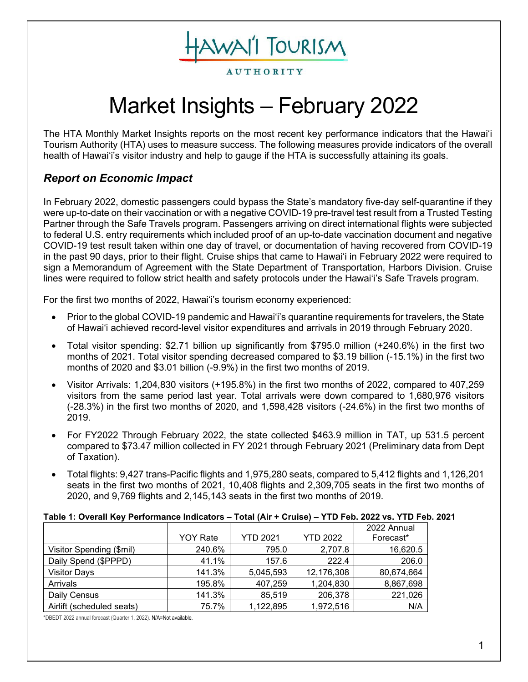AWAI'I TOURISM

**AUTHORITY** 

# Market Insights – February 2022

The HTA Monthly Market Insights reports on the most recent key performance indicators that the Hawai'i Tourism Authority (HTA) uses to measure success. The following measures provide indicators of the overall health of Hawai'i's visitor industry and help to gauge if the HTA is successfully attaining its goals.

# *Report on Economic Impact*

In February 2022, domestic passengers could bypass the State's mandatory five-day self-quarantine if they were up-to-date on their vaccination or with a negative COVID-19 pre-travel test result from a Trusted Testing Partner through the Safe Travels program. Passengers arriving on direct international flights were subjected to federal U.S. entry requirements which included proof of an up-to-date vaccination document and negative COVID-19 test result taken within one day of travel, or documentation of having recovered from COVID-19 in the past 90 days, prior to their flight. Cruise ships that came to Hawaiʻi in February 2022 were required to sign a Memorandum of Agreement with the State Department of Transportation, Harbors Division. Cruise lines were required to follow strict health and safety protocols under the Hawai'i's Safe Travels program.

For the first two months of 2022, Hawai'i's tourism economy experienced:

- Prior to the global COVID-19 pandemic and Hawai'i's quarantine requirements for travelers, the State of Hawai'i achieved record-level visitor expenditures and arrivals in 2019 through February 2020.
- Total visitor spending: \$2.71 billion up significantly from \$795.0 million (+240.6%) in the first two months of 2021. Total visitor spending decreased compared to \$3.19 billion (-15.1%) in the first two months of 2020 and \$3.01 billion (-9.9%) in the first two months of 2019.
- Visitor Arrivals: 1,204,830 visitors (+195.8%) in the first two months of 2022, compared to 407,259 visitors from the same period last year. Total arrivals were down compared to 1,680,976 visitors (-28.3%) in the first two months of 2020, and 1,598,428 visitors (-24.6%) in the first two months of 2019.
- For FY2022 Through February 2022, the state collected \$463.9 million in TAT, up 531.5 percent compared to \$73.47 million collected in FY 2021 through February 2021 (Preliminary data from Dept of Taxation).
- Total flights: 9,427 trans-Pacific flights and 1,975,280 seats, compared to 5,412 flights and 1,126,201 seats in the first two months of 2021, 10,408 flights and 2,309,705 seats in the first two months of 2020, and 9,769 flights and 2,145,143 seats in the first two months of 2019.

| Table 1: Overall Key Performance Indicators - Total (Air + Cruise) - YTD Feb. 2022 vs. YTD Feb. 2021 |  |
|------------------------------------------------------------------------------------------------------|--|
|------------------------------------------------------------------------------------------------------|--|

|                           |                 |                 |                 | 2022 Annual |
|---------------------------|-----------------|-----------------|-----------------|-------------|
|                           | <b>YOY Rate</b> | <b>YTD 2021</b> | <b>YTD 2022</b> | Forecast*   |
| Visitor Spending (\$mil)  | 240.6%          | 795.0           | 2,707.8         | 16,620.5    |
| Daily Spend (\$PPPD)      | 41.1%           | 157.6           | 222.4           | 206.0       |
| <b>Visitor Days</b>       | 141.3%          | 5,045,593       | 12,176,308      | 80,674,664  |
| Arrivals                  | 195.8%          | 407,259         | 1,204,830       | 8,867,698   |
| Daily Census              | 141.3%          | 85,519          | 206,378         | 221,026     |
| Airlift (scheduled seats) | 75.7%           | 1,122,895       | 1,972,516       | N/A         |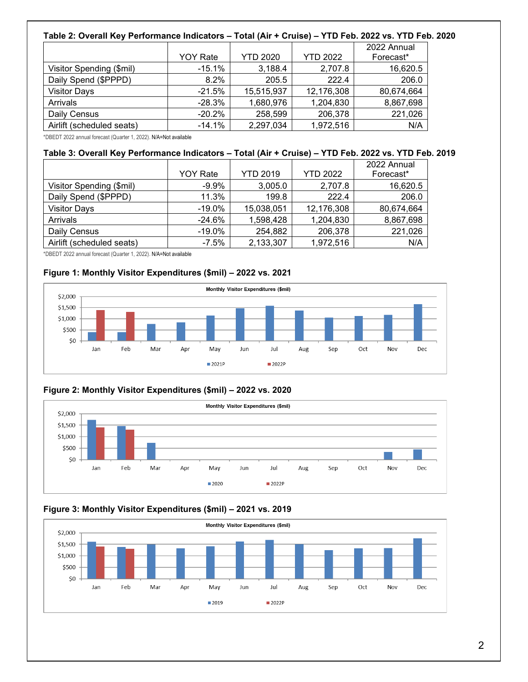#### **Table 2: Overall Key Performance Indicators – Total (Air + Cruise) – YTD Feb. 2022 vs. YTD Feb. 2020**

|                           |                 |                 |                 | 2022 Annual |
|---------------------------|-----------------|-----------------|-----------------|-------------|
|                           | <b>YOY Rate</b> | <b>YTD 2020</b> | <b>YTD 2022</b> | Forecast*   |
| Visitor Spending (\$mil)  | $-15.1%$        | 3,188.4         | 2,707.8         | 16,620.5    |
| Daily Spend (\$PPPD)      | 8.2%            | 205.5           | 222.4           | 206.0       |
| <b>Visitor Days</b>       | $-21.5%$        | 15,515,937      | 12,176,308      | 80,674,664  |
| Arrivals                  | $-28.3%$        | 1,680,976       | 1,204,830       | 8,867,698   |
| Daily Census              | $-20.2%$        | 258,599         | 206,378         | 221,026     |
| Airlift (scheduled seats) | $-14.1%$        | 2,297,034       | 1,972,516       | N/A         |

\*DBEDT 2022 annual forecast (Quarter 1, 2022). N/A=Not available

#### **Table 3: Overall Key Performance Indicators – Total (Air + Cruise) – YTD Feb. 2022 vs. YTD Feb. 2019**

|                           |                 |                 |                 | 2022 Annual |
|---------------------------|-----------------|-----------------|-----------------|-------------|
|                           | <b>YOY Rate</b> | <b>YTD 2019</b> | <b>YTD 2022</b> | Forecast*   |
| Visitor Spending (\$mil)  | $-9.9\%$        | 3,005.0         | 2,707.8         | 16,620.5    |
| Daily Spend (\$PPPD)      | 11.3%           | 199.8           | 222.4           | 206.0       |
| <b>Visitor Days</b>       | $-19.0\%$       | 15,038,051      | 12,176,308      | 80,674,664  |
| Arrivals                  | $-24.6\%$       | 1,598,428       | 1,204,830       | 8,867,698   |
| Daily Census              | $-19.0\%$       | 254,882         | 206,378         | 221,026     |
| Airlift (scheduled seats) | $-7.5\%$        | 2,133,307       | 1,972,516       | N/A         |

\*DBEDT 2022 annual forecast (Quarter 1, 2022). N/A=Not available

#### **Figure 1: Monthly Visitor Expenditures (\$mil) – 2022 vs. 2021**



#### **Figure 2: Monthly Visitor Expenditures (\$mil) – 2022 vs. 2020**



#### **Figure 3: Monthly Visitor Expenditures (\$mil) – 2021 vs. 2019**

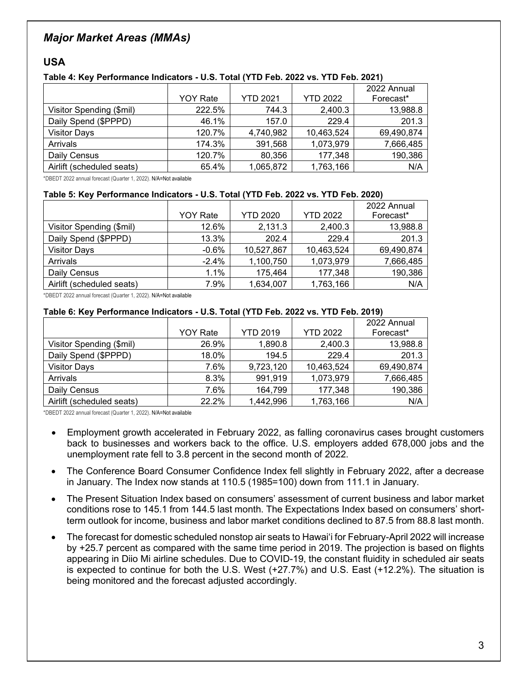# *Major Market Areas (MMAs)*

## **USA**

#### **Table 4: Key Performance Indicators - U.S. Total (YTD Feb. 2022 vs. YTD Feb. 2021)**

|                           |                 |                 | <b>YTD 2022</b> | 2022 Annual |
|---------------------------|-----------------|-----------------|-----------------|-------------|
|                           | <b>YOY Rate</b> | <b>YTD 2021</b> |                 | Forecast*   |
| Visitor Spending (\$mil)  | 222.5%          | 744.3           | 2,400.3         | 13,988.8    |
| Daily Spend (\$PPPD)      | 46.1%           | 157.0           | 229.4           | 201.3       |
| <b>Visitor Days</b>       | 120.7%          | 4,740,982       | 10,463,524      | 69,490,874  |
| Arrivals                  | 174.3%          | 391,568         | 1,073,979       | 7,666,485   |
| Daily Census              | 120.7%          | 80,356          | 177,348         | 190,386     |
| Airlift (scheduled seats) | 65.4%           | 1,065,872       | 1,763,166       | N/A         |

\*DBEDT 2022 annual forecast (Quarter 1, 2022). N/A=Not available

#### **Table 5: Key Performance Indicators - U.S. Total (YTD Feb. 2022 vs. YTD Feb. 2020)**

|                           |                 |                 |                 | 2022 Annual |
|---------------------------|-----------------|-----------------|-----------------|-------------|
|                           | <b>YOY Rate</b> | <b>YTD 2020</b> | <b>YTD 2022</b> | Forecast*   |
| Visitor Spending (\$mil)  | 12.6%           | 2,131.3         | 2,400.3         | 13,988.8    |
| Daily Spend (\$PPPD)      | 13.3%           | 202.4           | 229.4           | 201.3       |
| <b>Visitor Days</b>       | $-0.6%$         | 10,527,867      | 10,463,524      | 69,490,874  |
| Arrivals                  | $-2.4\%$        | 1,100,750       | 1,073,979       | 7,666,485   |
| Daily Census              | 1.1%            | 175,464         | 177,348         | 190,386     |
| Airlift (scheduled seats) | 7.9%            | 1.634.007       | 1,763,166       | N/A         |

\*DBEDT 2022 annual forecast (Quarter 1, 2022). N/A=Not available

#### **Table 6: Key Performance Indicators - U.S. Total (YTD Feb. 2022 vs. YTD Feb. 2019)**

|                           |                 |                 |                 | 2022 Annual |
|---------------------------|-----------------|-----------------|-----------------|-------------|
|                           | <b>YOY Rate</b> | <b>YTD 2019</b> | <b>YTD 2022</b> | Forecast*   |
| Visitor Spending (\$mil)  | 26.9%           | 1,890.8         | 2,400.3         | 13,988.8    |
| Daily Spend (\$PPPD)      | 18.0%           | 194.5           | 229.4           | 201.3       |
| <b>Visitor Days</b>       | 7.6%            | 9,723,120       | 10,463,524      | 69,490,874  |
| Arrivals                  | 8.3%            | 991,919         | 1,073,979       | 7,666,485   |
| Daily Census              | 7.6%            | 164,799         | 177,348         | 190,386     |
| Airlift (scheduled seats) | 22.2%           | 1,442,996       | 1,763,166       | N/A         |

- Employment growth accelerated in February 2022, as falling coronavirus cases brought customers back to businesses and workers back to the office. U.S. employers added 678,000 jobs and the unemployment rate fell to 3.8 percent in the second month of 2022.
- The Conference Board Consumer Confidence Index fell slightly in February 2022, after a decrease in January. The Index now stands at 110.5 (1985=100) down from 111.1 in January.
- The Present Situation Index based on consumers' assessment of current business and labor market conditions rose to 145.1 from 144.5 last month. The Expectations Index based on consumers' shortterm outlook for income, business and labor market conditions declined to 87.5 from 88.8 last month.
- The forecast for domestic scheduled nonstop air seats to Hawai'i for February-April 2022 will increase by +25.7 percent as compared with the same time period in 2019. The projection is based on flights appearing in Diio Mi airline schedules. Due to COVID-19, the constant fluidity in scheduled air seats is expected to continue for both the U.S. West (+27.7%) and U.S. East (+12.2%). The situation is being monitored and the forecast adjusted accordingly.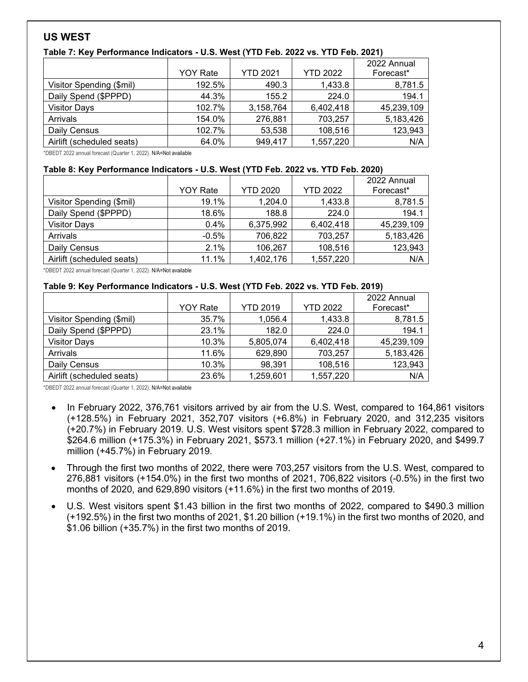## **US WEST**

| Table 7: Key Performance Indicators - U.S. West (YTD Feb. 2022 vs. YTD Feb. 2021) |  |  |
|-----------------------------------------------------------------------------------|--|--|
|-----------------------------------------------------------------------------------|--|--|

|                           | <b>YOY Rate</b> | <b>YTD 2021</b> | <b>YTD 2022</b> | 2022 Annual<br>Forecast* |
|---------------------------|-----------------|-----------------|-----------------|--------------------------|
| Visitor Spending (\$mil)  | 192.5%          | 490.3           | 1,433.8         | 8,781.5                  |
| Daily Spend (\$PPPD)      | 44.3%           | 155.2           | 224.0           | 194.1                    |
| <b>Visitor Days</b>       | 102.7%          | 3,158,764       | 6,402,418       | 45,239,109               |
| Arrivals                  | 154.0%          | 276,881         | 703,257         | 5,183,426                |
| Daily Census              | 102.7%          | 53,538          | 108,516         | 123,943                  |
| Airlift (scheduled seats) | 64.0%           | 949,417         | 1,557,220       | N/A                      |

\*DBEDT 2022 annual forecast (Quarter 1, 2022). N/A=Not available

#### **Table 8: Key Performance Indicators - U.S. West (YTD Feb. 2022 vs. YTD Feb. 2020)**

|                           |                 |                 |                 | 2022 Annual |
|---------------------------|-----------------|-----------------|-----------------|-------------|
|                           | <b>YOY Rate</b> | <b>YTD 2020</b> | <b>YTD 2022</b> | Forecast*   |
| Visitor Spending (\$mil)  | 19.1%           | 1,204.0         | 1,433.8         | 8,781.5     |
| Daily Spend (\$PPPD)      | 18.6%           | 188.8           | 224.0           | 194.1       |
| <b>Visitor Days</b>       | $0.4\%$         | 6,375,992       | 6,402,418       | 45,239,109  |
| Arrivals                  | $-0.5%$         | 706,822         | 703,257         | 5,183,426   |
| Daily Census              | 2.1%            | 106,267         | 108,516         | 123,943     |
| Airlift (scheduled seats) | 11.1%           | 1,402,176       | 1,557,220       | N/A         |

\*DBEDT 2022 annual forecast (Quarter 1, 2022). N/A=Not available

#### **Table 9: Key Performance Indicators - U.S. West (YTD Feb. 2022 vs. YTD Feb. 2019)**

|                           |                 |                 |                 | 2022 Annual |
|---------------------------|-----------------|-----------------|-----------------|-------------|
|                           | <b>YOY Rate</b> | <b>YTD 2019</b> | <b>YTD 2022</b> | Forecast*   |
| Visitor Spending (\$mil)  | 35.7%           | 1,056.4         | 1,433.8         | 8,781.5     |
| Daily Spend (\$PPPD)      | 23.1%           | 182.0           | 224.0           | 194.1       |
| <b>Visitor Days</b>       | 10.3%           | 5,805,074       | 6,402,418       | 45,239,109  |
| Arrivals                  | 11.6%           | 629,890         | 703,257         | 5,183,426   |
| Daily Census              | 10.3%           | 98,391          | 108,516         | 123,943     |
| Airlift (scheduled seats) | 23.6%           | 1,259,601       | 1,557,220       | N/A         |

- In February 2022, 376,761 visitors arrived by air from the U.S. West, compared to 164,861 visitors (+128.5%) in February 2021, 352,707 visitors (+6.8%) in February 2020, and 312,235 visitors (+20.7%) in February 2019. U.S. West visitors spent \$728.3 million in February 2022, compared to \$264.6 million (+175.3%) in February 2021, \$573.1 million (+27.1%) in February 2020, and \$499.7 million (+45.7%) in February 2019.
- Through the first two months of 2022, there were 703,257 visitors from the U.S. West, compared to 276,881 visitors (+154.0%) in the first two months of 2021, 706,822 visitors (-0.5%) in the first two months of 2020, and 629,890 visitors (+11.6%) in the first two months of 2019.
- U.S. West visitors spent \$1.43 billion in the first two months of 2022, compared to \$490.3 million (+192.5%) in the first two months of 2021, \$1.20 billion (+19.1%) in the first two months of 2020, and \$1.06 billion (+35.7%) in the first two months of 2019.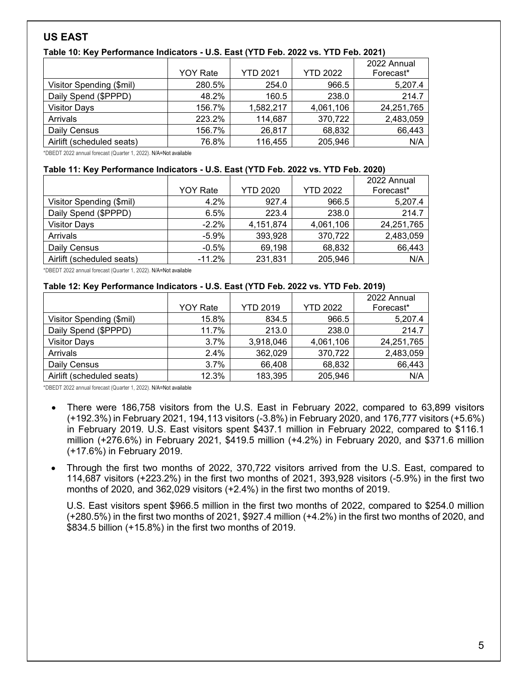# **US EAST**

### **Table 10: Key Performance Indicators - U.S. East (YTD Feb. 2022 vs. YTD Feb. 2021)**

|                           | <b>YOY Rate</b> | <b>YTD 2021</b> | <b>YTD 2022</b> | 2022 Annual<br>Forecast* |
|---------------------------|-----------------|-----------------|-----------------|--------------------------|
| Visitor Spending (\$mil)  | 280.5%          | 254.0           | 966.5           | 5,207.4                  |
| Daily Spend (\$PPPD)      | 48.2%           | 160.5           | 238.0           | 214.7                    |
| <b>Visitor Days</b>       | 156.7%          | 1,582,217       | 4,061,106       | 24,251,765               |
| Arrivals                  | 223.2%          | 114,687         | 370,722         | 2,483,059                |
| Daily Census              | 156.7%          | 26,817          | 68,832          | 66,443                   |
| Airlift (scheduled seats) | 76.8%           | 116,455         | 205,946         | N/A                      |

\*DBEDT 2022 annual forecast (Quarter 1, 2022). N/A=Not available

#### **Table 11: Key Performance Indicators - U.S. East (YTD Feb. 2022 vs. YTD Feb. 2020)**

|                           |                 | <b>YTD 2020</b> | <b>YTD 2022</b> | 2022 Annual |
|---------------------------|-----------------|-----------------|-----------------|-------------|
|                           | <b>YOY Rate</b> |                 |                 | Forecast*   |
| Visitor Spending (\$mil)  | 4.2%            | 927.4           | 966.5           | 5,207.4     |
| Daily Spend (\$PPPD)      | 6.5%            | 223.4           | 238.0           | 214.7       |
| <b>Visitor Days</b>       | $-2.2\%$        | 4,151,874       | 4,061,106       | 24,251,765  |
| Arrivals                  | $-5.9%$         | 393,928         | 370,722         | 2,483,059   |
| Daily Census              | $-0.5%$         | 69,198          | 68,832          | 66,443      |
| Airlift (scheduled seats) | $-11.2%$        | 231,831         | 205,946         | N/A         |

\*DBEDT 2022 annual forecast (Quarter 1, 2022). N/A=Not available

#### **Table 12: Key Performance Indicators - U.S. East (YTD Feb. 2022 vs. YTD Feb. 2019)**

|                           | <b>YOY Rate</b> | <b>YTD 2019</b> | <b>YTD 2022</b> | 2022 Annual<br>Forecast* |
|---------------------------|-----------------|-----------------|-----------------|--------------------------|
| Visitor Spending (\$mil)  | 15.8%           | 834.5           | 966.5           | 5,207.4                  |
| Daily Spend (\$PPPD)      | 11.7%           | 213.0           | 238.0           | 214.7                    |
| <b>Visitor Days</b>       | 3.7%            | 3,918,046       | 4,061,106       | 24,251,765               |
| Arrivals                  | 2.4%            | 362,029         | 370,722         | 2,483,059                |
| Daily Census              | 3.7%            | 66,408          | 68,832          | 66,443                   |
| Airlift (scheduled seats) | 12.3%           | 183,395         | 205,946         | N/A                      |

\*DBEDT 2022 annual forecast (Quarter 1, 2022). N/A=Not available

- There were 186,758 visitors from the U.S. East in February 2022, compared to 63,899 visitors (+192.3%) in February 2021, 194,113 visitors (-3.8%) in February 2020, and 176,777 visitors (+5.6%) in February 2019. U.S. East visitors spent \$437.1 million in February 2022, compared to \$116.1 million (+276.6%) in February 2021, \$419.5 million (+4.2%) in February 2020, and \$371.6 million (+17.6%) in February 2019.
- Through the first two months of 2022, 370,722 visitors arrived from the U.S. East, compared to 114,687 visitors (+223.2%) in the first two months of 2021, 393,928 visitors (-5.9%) in the first two months of 2020, and 362,029 visitors (+2.4%) in the first two months of 2019.

U.S. East visitors spent \$966.5 million in the first two months of 2022, compared to \$254.0 million (+280.5%) in the first two months of 2021, \$927.4 million (+4.2%) in the first two months of 2020, and \$834.5 billion (+15.8%) in the first two months of 2019.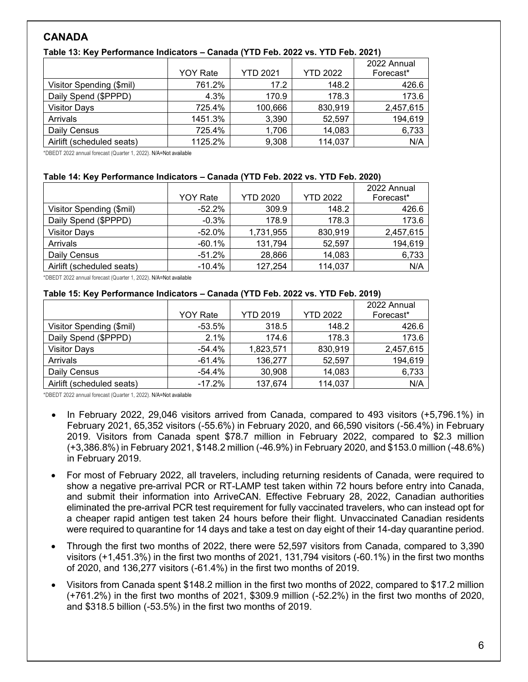# **CANADA**

|                           | <b>YOY Rate</b> | <b>YTD 2021</b> | <b>YTD 2022</b> | 2022 Annual<br>Forecast* |
|---------------------------|-----------------|-----------------|-----------------|--------------------------|
|                           |                 |                 |                 |                          |
| Visitor Spending (\$mil)  | 761.2%          | 17.2            | 148.2           | 426.6                    |
| Daily Spend (\$PPPD)      | 4.3%            | 170.9           | 178.3           | 173.6                    |
| <b>Visitor Days</b>       | 725.4%          | 100,666         | 830,919         | 2,457,615                |
| Arrivals                  | 1451.3%         | 3,390           | 52,597          | 194,619                  |
| Daily Census              | 725.4%          | 1,706           | 14,083          | 6,733                    |
| Airlift (scheduled seats) | 1125.2%         | 9,308           | 114,037         | N/A                      |

#### **Table 13: Key Performance Indicators – Canada (YTD Feb. 2022 vs. YTD Feb. 2021)**

\*DBEDT 2022 annual forecast (Quarter 1, 2022). N/A=Not available

#### **Table 14: Key Performance Indicators – Canada (YTD Feb. 2022 vs. YTD Feb. 2020)**

|                           |                 |                 |                 | 2022 Annual |
|---------------------------|-----------------|-----------------|-----------------|-------------|
|                           | <b>YOY Rate</b> | <b>YTD 2020</b> | <b>YTD 2022</b> | Forecast*   |
| Visitor Spending (\$mil)  | $-52.2\%$       | 309.9           | 148.2           | 426.6       |
| Daily Spend (\$PPPD)      | $-0.3%$         | 178.9           | 178.3           | 173.6       |
| <b>Visitor Days</b>       | $-52.0\%$       | 1,731,955       | 830,919         | 2,457,615   |
| Arrivals                  | $-60.1%$        | 131,794         | 52,597          | 194,619     |
| Daily Census              | $-51.2\%$       | 28,866          | 14,083          | 6,733       |
| Airlift (scheduled seats) | $-10.4\%$       | 127,254         | 114,037         | N/A         |

\*DBEDT 2022 annual forecast (Quarter 1, 2022). N/A=Not available

#### **Table 15: Key Performance Indicators – Canada (YTD Feb. 2022 vs. YTD Feb. 2019)**

|                           |                 |                 |                 | 2022 Annual |
|---------------------------|-----------------|-----------------|-----------------|-------------|
|                           | <b>YOY Rate</b> | <b>YTD 2019</b> | <b>YTD 2022</b> | Forecast*   |
| Visitor Spending (\$mil)  | $-53.5%$        | 318.5           | 148.2           | 426.6       |
| Daily Spend (\$PPPD)      | 2.1%            | 174.6           | 178.3           | 173.6       |
| <b>Visitor Days</b>       | -54.4%          | 1,823,571       | 830,919         | 2,457,615   |
| Arrivals                  | $-61.4\%$       | 136,277         | 52,597          | 194,619     |
| Daily Census              | $-54.4\%$       | 30,908          | 14,083          | 6,733       |
| Airlift (scheduled seats) | $-17.2%$        | 137,674         | 114,037         | N/A         |

- In February 2022, 29,046 visitors arrived from Canada, compared to 493 visitors (+5,796.1%) in February 2021, 65,352 visitors (-55.6%) in February 2020, and 66,590 visitors (-56.4%) in February 2019. Visitors from Canada spent \$78.7 million in February 2022, compared to \$2.3 million (+3,386.8%) in February 2021, \$148.2 million (-46.9%) in February 2020, and \$153.0 million (-48.6%) in February 2019.
- For most of February 2022, all travelers, including returning residents of Canada, were required to show a negative pre-arrival PCR or RT-LAMP test taken within 72 hours before entry into Canada, and submit their information into [ArriveCAN.](https://www.canada.ca/en/public-health/services/diseases/coronavirus-disease-covid-19/arrivecan.html?utm_campaign=cbsa-asfc-covid19-21-22&utm_source=news&utm_medium=mdpr&utm_content=bordermeasures_nov21_en33) Effective February 28, 2022, Canadian authorities eliminated the pre-arrival PCR test requirement for fully vaccinated travelers, who can instead opt for a cheaper rapid antigen test taken 24 hours before their flight. Unvaccinated Canadian residents were required to quarantine for 14 days and take a test on day eight of their 14-day quarantine period.
- Through the first two months of 2022, there were 52,597 visitors from Canada, compared to 3,390 visitors (+1,451.3%) in the first two months of 2021, 131,794 visitors (-60.1%) in the first two months of 2020, and 136,277 visitors (-61.4%) in the first two months of 2019.
- Visitors from Canada spent \$148.2 million in the first two months of 2022, compared to \$17.2 million (+761.2%) in the first two months of 2021, \$309.9 million (-52.2%) in the first two months of 2020, and \$318.5 billion (-53.5%) in the first two months of 2019.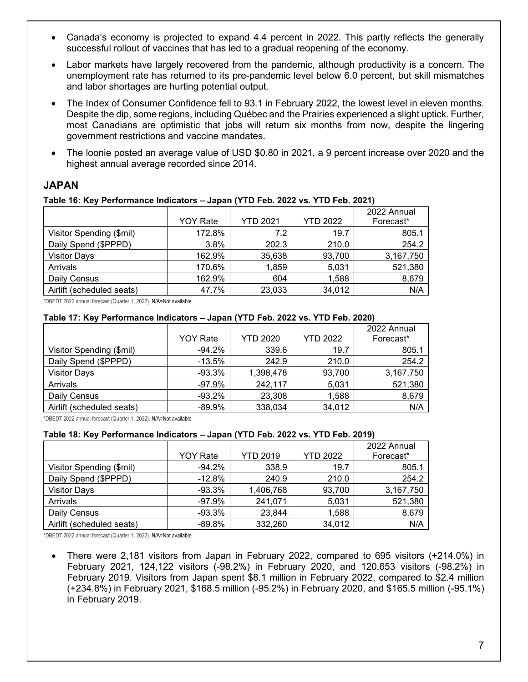- Canada's economy is projected to expand 4.4 percent in 2022. This partly reflects the generally successful rollout of vaccines that has led to a gradual reopening of the economy.
- Labor markets have largely recovered from the pandemic, although productivity is a concern. The unemployment rate has returned to its pre-pandemic level below 6.0 percent, but skill mismatches and labor shortages are hurting potential output.
- The Index of Consumer Confidence fell to 93.1 in February 2022, the lowest level in eleven months. Despite the dip, some regions, including Québec and the Prairies experienced a slight uptick. Further, most Canadians are optimistic that jobs will return six months from now, despite the lingering government restrictions and vaccine mandates.
- The loonie posted an average value of USD \$0.80 in 2021, a 9 percent increase over 2020 and the highest annual average recorded since 2014.

## **JAPAN**

#### **Table 16: Key Performance Indicators – Japan (YTD Feb. 2022 vs. YTD Feb. 2021)**

|                           | <b>YOY Rate</b> | <b>YTD 2021</b> | <b>YTD 2022</b> | 2022 Annual<br>Forecast* |
|---------------------------|-----------------|-----------------|-----------------|--------------------------|
| Visitor Spending (\$mil)  | 172.8%          | 7.2             | 19.7            | 805.1                    |
| Daily Spend (\$PPPD)      | 3.8%            | 202.3           | 210.0           | 254.2                    |
| <b>Visitor Days</b>       | 162.9%          | 35,638          | 93,700          | 3,167,750                |
| Arrivals                  | 170.6%          | 1,859           | 5,031           | 521,380                  |
| Daily Census              | 162.9%          | 604             | 1,588           | 8,679                    |
| Airlift (scheduled seats) | 47.7%           | 23,033          | 34,012          | N/A                      |

\*DBEDT 2022 annual forecast (Quarter 1, 2022). N/A=Not available

#### **Table 17: Key Performance Indicators – Japan (YTD Feb. 2022 vs. YTD Feb. 2020)**

|                           | <b>YOY Rate</b> | <b>YTD 2020</b> | <b>YTD 2022</b> | 2022 Annual<br>Forecast* |
|---------------------------|-----------------|-----------------|-----------------|--------------------------|
| Visitor Spending (\$mil)  | $-94.2\%$       | 339.6           | 19.7            | 805.1                    |
| Daily Spend (\$PPPD)      | $-13.5%$        | 242.9           | 210.0           | 254.2                    |
| <b>Visitor Days</b>       | $-93.3\%$       | 1,398,478       | 93,700          | 3,167,750                |
| Arrivals                  | $-97.9\%$       | 242,117         | 5,031           | 521,380                  |
| Daily Census              | $-93.2\%$       | 23,308          | 1,588           | 8,679                    |
| Airlift (scheduled seats) | $-89.9\%$       | 338,034         | 34,012          | N/A                      |

\*DBEDT 2022 annual forecast (Quarter 1, 2022). N/A=Not available

#### **Table 18: Key Performance Indicators – Japan (YTD Feb. 2022 vs. YTD Feb. 2019)**

|                           |                 |                 |                 | 2022 Annual |
|---------------------------|-----------------|-----------------|-----------------|-------------|
|                           | <b>YOY Rate</b> | <b>YTD 2019</b> | <b>YTD 2022</b> | Forecast*   |
| Visitor Spending (\$mil)  | $-94.2\%$       | 338.9           | 19.7            | 805.1       |
| Daily Spend (\$PPPD)      | $-12.8%$        | 240.9           | 210.0           | 254.2       |
| <b>Visitor Days</b>       | $-93.3\%$       | 1,406,768       | 93,700          | 3,167,750   |
| Arrivals                  | $-97.9%$        | 241,071         | 5,031           | 521,380     |
| Daily Census              | $-93.3\%$       | 23,844          | 1,588           | 8,679       |
| Airlift (scheduled seats) | $-89.8\%$       | 332,260         | 34,012          | N/A         |

\*DBEDT 2022 annual forecast (Quarter 1, 2022). N/A=Not available

• There were 2,181 visitors from Japan in February 2022, compared to 695 visitors (+214.0%) in February 2021, 124,122 visitors (-98.2%) in February 2020, and 120,653 visitors (-98.2%) in February 2019. Visitors from Japan spent \$8.1 million in February 2022, compared to \$2.4 million (+234.8%) in February 2021, \$168.5 million (-95.2%) in February 2020, and \$165.5 million (-95.1%) in February 2019.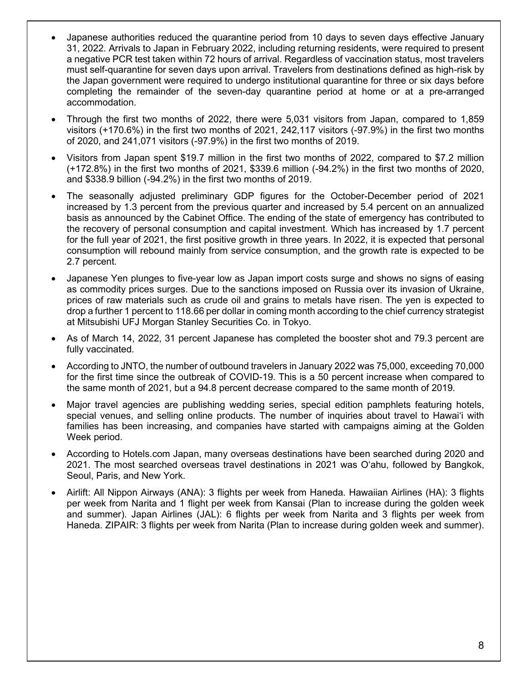- Japanese authorities reduced the quarantine period from 10 days to seven days effective January 31, 2022. Arrivals to Japan in February 2022, including returning residents, were required to present a negative PCR test taken within 72 hours of arrival. Regardless of vaccination status, most travelers must self-quarantine for seven days upon arrival. Travelers from destinations defined as high-risk by the Japan government were required to undergo institutional quarantine for three or six days before completing the remainder of the seven-day quarantine period at home or at a pre-arranged accommodation.
- Through the first two months of 2022, there were 5,031 visitors from Japan, compared to 1,859 visitors (+170.6%) in the first two months of 2021, 242,117 visitors (-97.9%) in the first two months of 2020, and 241,071 visitors (-97.9%) in the first two months of 2019.
- Visitors from Japan spent \$19.7 million in the first two months of 2022, compared to \$7.2 million (+172.8%) in the first two months of 2021, \$339.6 million (-94.2%) in the first two months of 2020, and \$338.9 billion (-94.2%) in the first two months of 2019.
- The seasonally adjusted preliminary GDP figures for the October-December period of 2021 increased by 1.3 percent from the previous quarter and increased by 5.4 percent on an annualized basis as announced by the Cabinet Office. The ending of the state of emergency has contributed to the recovery of personal consumption and capital investment. Which has increased by 1.7 percent for the full year of 2021, the first positive growth in three years. In 2022, it is expected that personal consumption will rebound mainly from service consumption, and the growth rate is expected to be 2.7 percent.
- Japanese Yen plunges to five-year low as Japan import costs surge and shows no signs of easing as commodity prices surges. Due to the sanctions imposed on Russia over its invasion of Ukraine, prices of raw materials such as crude oil and grains to metals have risen. The yen is expected to drop a further 1 percent to 118.66 per dollar in coming month according to the chief currency strategist at Mitsubishi UFJ Morgan Stanley Securities Co. in Tokyo.
- As of March 14, 2022, 31 percent Japanese has completed the booster shot and 79.3 percent are fully vaccinated.
- According to JNTO, the number of outbound travelers in January 2022 was 75,000, exceeding 70,000 for the first time since the outbreak of COVID-19. This is a 50 percent increase when compared to the same month of 2021, but a 94.8 percent decrease compared to the same month of 2019.
- Major travel agencies are publishing wedding series, special edition pamphlets featuring hotels, special venues, and selling online products. The number of inquiries about travel to Hawaiʻi with families has been increasing, and companies have started with campaigns aiming at the Golden Week period.
- According to Hotels.com Japan, many overseas destinations have been searched during 2020 and 2021. The most searched overseas travel destinations in 2021 was Oʻahu, followed by Bangkok, Seoul, Paris, and New York.
- Airlift: All Nippon Airways (ANA): 3 flights per week from Haneda. Hawaiian Airlines (HA): 3 flights per week from Narita and 1 flight per week from Kansai (Plan to increase during the golden week and summer). Japan Airlines (JAL): 6 flights per week from Narita and 3 flights per week from Haneda. ZIPAIR: 3 flights per week from Narita (Plan to increase during golden week and summer).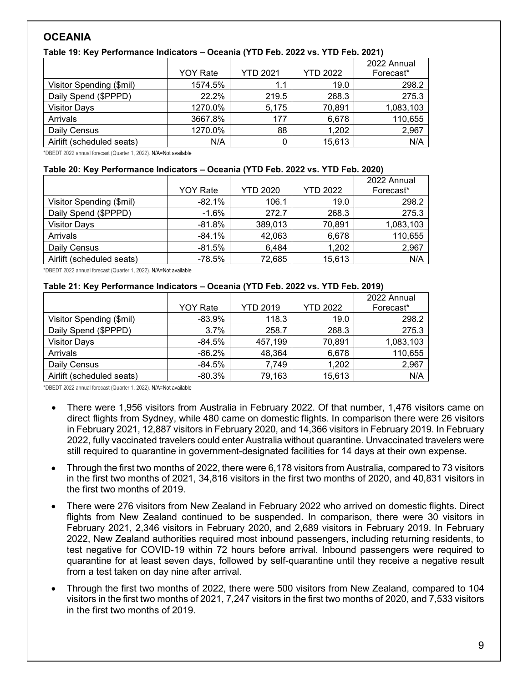# **OCEANIA**

| Table 19: Key Performance Indicators - Oceania (YTD Feb. 2022 vs. YTD Feb. 2021) |  |  |
|----------------------------------------------------------------------------------|--|--|
|----------------------------------------------------------------------------------|--|--|

|                           | <b>YOY Rate</b> | <b>YTD 2021</b> | <b>YTD 2022</b> | 2022 Annual<br>Forecast* |
|---------------------------|-----------------|-----------------|-----------------|--------------------------|
| Visitor Spending (\$mil)  | 1574.5%         | 1.1             | 19.0            | 298.2                    |
| Daily Spend (\$PPPD)      | 22.2%           | 219.5           | 268.3           | 275.3                    |
| <b>Visitor Days</b>       | 1270.0%         | 5,175           | 70,891          | 1,083,103                |
| Arrivals                  | 3667.8%         | 177             | 6,678           | 110,655                  |
| Daily Census              | 1270.0%         | 88              | 1,202           | 2,967                    |
| Airlift (scheduled seats) | N/A             |                 | 15,613          | N/A                      |

\*DBEDT 2022 annual forecast (Quarter 1, 2022). N/A=Not available

#### **Table 20: Key Performance Indicators – Oceania (YTD Feb. 2022 vs. YTD Feb. 2020)**

|                           | <b>YOY Rate</b> | <b>YTD 2020</b> | <b>YTD 2022</b> | 2022 Annual<br>Forecast* |
|---------------------------|-----------------|-----------------|-----------------|--------------------------|
| Visitor Spending (\$mil)  | $-82.1%$        | 106.1           | 19.0            | 298.2                    |
| Daily Spend (\$PPPD)      | $-1.6%$         | 272.7           | 268.3           | 275.3                    |
| <b>Visitor Days</b>       | $-81.8\%$       | 389,013         | 70,891          | 1,083,103                |
| Arrivals                  | $-84.1%$        | 42,063          | 6,678           | 110,655                  |
| Daily Census              | $-81.5%$        | 6,484           | 1,202           | 2,967                    |
| Airlift (scheduled seats) | $-78.5%$        | 72,685          | 15,613          | N/A                      |

\*DBEDT 2022 annual forecast (Quarter 1, 2022). N/A=Not available

#### **Table 21: Key Performance Indicators – Oceania (YTD Feb. 2022 vs. YTD Feb. 2019)**

|                           | <b>YOY Rate</b> | <b>YTD 2019</b> | <b>YTD 2022</b> | 2022 Annual<br>Forecast* |
|---------------------------|-----------------|-----------------|-----------------|--------------------------|
|                           | -83.9%          | 118.3           | 19.0            | 298.2                    |
| Visitor Spending (\$mil)  |                 |                 |                 |                          |
| Daily Spend (\$PPPD)      | 3.7%            | 258.7           | 268.3           | 275.3                    |
| <b>Visitor Days</b>       | $-84.5\%$       | 457,199         | 70,891          | 1,083,103                |
| Arrivals                  | $-86.2\%$       | 48,364          | 6,678           | 110,655                  |
| Daily Census              | -84.5%          | 7,749           | 1,202           | 2,967                    |
| Airlift (scheduled seats) | $-80.3\%$       | 79,163          | 15,613          | N/A                      |

- There were 1,956 visitors from Australia in February 2022. Of that number, 1,476 visitors came on direct flights from Sydney, while 480 came on domestic flights. In comparison there were 26 visitors in February 2021, 12,887 visitors in February 2020, and 14,366 visitors in February 2019. In February 2022, fully vaccinated travelers could enter Australia without quarantine. Unvaccinated travelers were still required to quarantine in government-designated facilities for 14 days at their own expense.
- Through the first two months of 2022, there were 6,178 visitors from Australia, compared to 73 visitors in the first two months of 2021, 34,816 visitors in the first two months of 2020, and 40,831 visitors in the first two months of 2019.
- There were 276 visitors from New Zealand in February 2022 who arrived on domestic flights. Direct flights from New Zealand continued to be suspended. In comparison, there were 30 visitors in February 2021, 2,346 visitors in February 2020, and 2,689 visitors in February 2019. In February 2022, New Zealand authorities required most inbound passengers, including returning residents, to test negative for COVID-19 within 72 hours before arrival. Inbound passengers were required to quarantine for at least seven days, followed by self-quarantine until they receive a negative result from a test taken on day nine after arrival.
- Through the first two months of 2022, there were 500 visitors from New Zealand, compared to 104 visitors in the first two months of 2021, 7,247 visitors in the first two months of 2020, and 7,533 visitors in the first two months of 2019.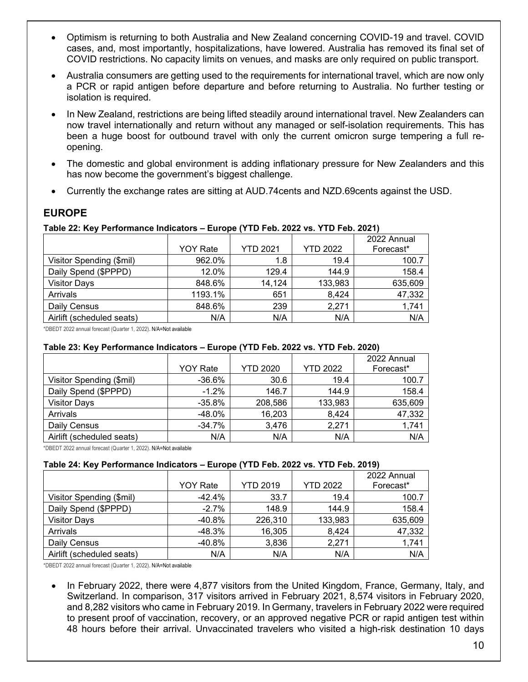- Optimism is returning to both Australia and New Zealand concerning COVID-19 and travel. COVID cases, and, most importantly, hospitalizations, have lowered. Australia has removed its final set of COVID restrictions. No capacity limits on venues, and masks are only required on public transport.
- Australia consumers are getting used to the requirements for international travel, which are now only a PCR or rapid antigen before departure and before returning to Australia. No further testing or isolation is required.
- In New Zealand, restrictions are being lifted steadily around international travel. New Zealanders can now travel internationally and return without any managed or self-isolation requirements. This has been a huge boost for outbound travel with only the current omicron surge tempering a full reopening.
- The domestic and global environment is adding inflationary pressure for New Zealanders and this has now become the government's biggest challenge.
- Currently the exchange rates are sitting at AUD.74cents and NZD.69cents against the USD.

## **EUROPE**

### **Table 22: Key Performance Indicators – Europe (YTD Feb. 2022 vs. YTD Feb. 2021)**

|                           |                 |                 |                 | 2022 Annual |
|---------------------------|-----------------|-----------------|-----------------|-------------|
|                           | <b>YOY Rate</b> | <b>YTD 2021</b> | <b>YTD 2022</b> | Forecast*   |
| Visitor Spending (\$mil)  | 962.0%          | 1.8             | 19.4            | 100.7       |
| Daily Spend (\$PPPD)      | 12.0%           | 129.4           | 144.9           | 158.4       |
| <b>Visitor Days</b>       | 848.6%          | 14,124          | 133,983         | 635,609     |
| Arrivals                  | 1193.1%         | 651             | 8,424           | 47,332      |
| Daily Census              | 848.6%          | 239             | 2,271           | 1,741       |
| Airlift (scheduled seats) | N/A             | N/A             | N/A             | N/A         |

\*DBEDT 2022 annual forecast (Quarter 1, 2022). N/A=Not available

#### **Table 23: Key Performance Indicators – Europe (YTD Feb. 2022 vs. YTD Feb. 2020)**

|                           |                 |                 |                 | 2022 Annual |
|---------------------------|-----------------|-----------------|-----------------|-------------|
|                           | <b>YOY Rate</b> | <b>YTD 2020</b> | <b>YTD 2022</b> | Forecast*   |
| Visitor Spending (\$mil)  | $-36.6\%$       | 30.6            | 19.4            | 100.7       |
| Daily Spend (\$PPPD)      | $-1.2%$         | 146.7           | 144.9           | 158.4       |
| <b>Visitor Days</b>       | $-35.8\%$       | 208,586         | 133,983         | 635,609     |
| Arrivals                  | $-48.0\%$       | 16,203          | 8,424           | 47,332      |
| Daily Census              | $-34.7%$        | 3,476           | 2,271           | 1,741       |
| Airlift (scheduled seats) | N/A             | N/A             | N/A             | N/A         |

\*DBEDT 2022 annual forecast (Quarter 1, 2022). N/A=Not available

#### **Table 24: Key Performance Indicators – Europe (YTD Feb. 2022 vs. YTD Feb. 2019)**

|                           | <b>YOY Rate</b> | <b>YTD 2019</b> | <b>YTD 2022</b> | 2022 Annual<br>Forecast* |
|---------------------------|-----------------|-----------------|-----------------|--------------------------|
|                           |                 |                 |                 |                          |
| Visitor Spending (\$mil)  | $-42.4%$        | 33.7            | 19.4            | 100.7                    |
| Daily Spend (\$PPPD)      | $-2.7\%$        | 148.9           | 144.9           | 158.4                    |
| <b>Visitor Days</b>       | $-40.8\%$       | 226,310         | 133,983         | 635,609                  |
| Arrivals                  | -48.3%          | 16,305          | 8,424           | 47,332                   |
| Daily Census              | -40.8%          | 3,836           | 2,271           | 1,741                    |
| Airlift (scheduled seats) | N/A             | N/A             | N/A             | N/A                      |

\*DBEDT 2022 annual forecast (Quarter 1, 2022). N/A=Not available

• In February 2022, there were 4,877 visitors from the United Kingdom, France, Germany, Italy, and Switzerland. In comparison, 317 visitors arrived in February 2021, 8,574 visitors in February 2020, and 8,282 visitors who came in February 2019. In Germany, travelers in February 2022 were required to present proof of vaccination, recovery, or an approved negative PCR or rapid antigen test within 48 hours before their arrival. Unvaccinated travelers who visited a high-risk destination 10 days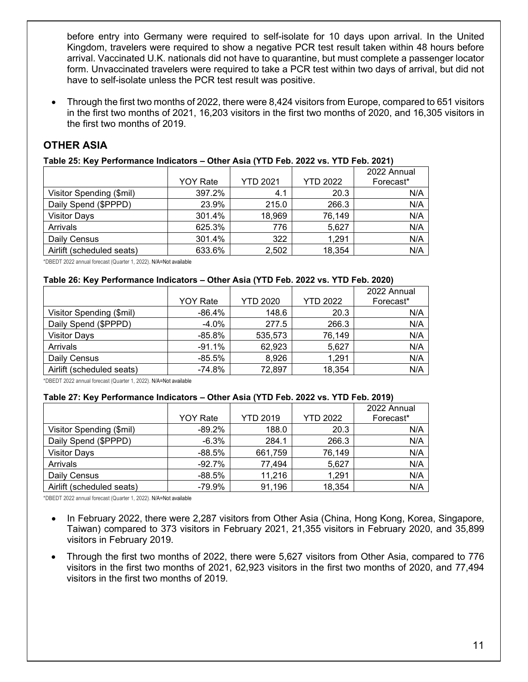before entry into Germany were required to self-isolate for 10 days upon arrival. In the United Kingdom, travelers were required to show a negative PCR test result taken within 48 hours before arrival. Vaccinated U.K. nationals did not have to quarantine, but must complete a passenger locator form. Unvaccinated travelers were required to take a PCR test within two days of arrival, but did not have to self-isolate unless the PCR test result was positive.

• Through the first two months of 2022, there were 8,424 visitors from Europe, compared to 651 visitors in the first two months of 2021, 16,203 visitors in the first two months of 2020, and 16,305 visitors in the first two months of 2019.

# **OTHER ASIA**

## **Table 25: Key Performance Indicators – Other Asia (YTD Feb. 2022 vs. YTD Feb. 2021)**

|                           | <b>YOY Rate</b> | <b>YTD 2021</b> | <b>YTD 2022</b> | 2022 Annual<br>Forecast* |
|---------------------------|-----------------|-----------------|-----------------|--------------------------|
| Visitor Spending (\$mil)  | 397.2%          | 4.1             | 20.3            | N/A                      |
| Daily Spend (\$PPPD)      | 23.9%           | 215.0           | 266.3           | N/A                      |
| <b>Visitor Days</b>       | 301.4%          | 18,969          | 76,149          | N/A                      |
| Arrivals                  | 625.3%          | 776             | 5,627           | N/A                      |
| Daily Census              | 301.4%          | 322             | 1,291           | N/A                      |
| Airlift (scheduled seats) | 633.6%          | 2,502           | 18,354          | N/A                      |

\*DBEDT 2022 annual forecast (Quarter 1, 2022). N/A=Not available

#### **Table 26: Key Performance Indicators – Other Asia (YTD Feb. 2022 vs. YTD Feb. 2020)**

|                           |                 |                 |                 | 2022 Annual |
|---------------------------|-----------------|-----------------|-----------------|-------------|
|                           | <b>YOY Rate</b> | <b>YTD 2020</b> | <b>YTD 2022</b> | Forecast*   |
| Visitor Spending (\$mil)  | -86.4%          | 148.6           | 20.3            | N/A         |
| Daily Spend (\$PPPD)      | $-4.0\%$        | 277.5           | 266.3           | N/A         |
| <b>Visitor Days</b>       | -85.8%          | 535,573         | 76,149          | N/A         |
| Arrivals                  | $-91.1%$        | 62,923          | 5,627           | N/A         |
| Daily Census              | -85.5%          | 8,926           | 1,291           | N/A         |
| Airlift (scheduled seats) | $-74.8%$        | 72,897          | 18,354          | N/A         |

\*DBEDT 2022 annual forecast (Quarter 1, 2022). N/A=Not available

#### **Table 27: Key Performance Indicators – Other Asia (YTD Feb. 2022 vs. YTD Feb. 2019)**

|                           |                 |                 |                 | 2022 Annual |
|---------------------------|-----------------|-----------------|-----------------|-------------|
|                           | <b>YOY Rate</b> | <b>YTD 2019</b> | <b>YTD 2022</b> | Forecast*   |
| Visitor Spending (\$mil)  | $-89.2%$        | 188.0           | 20.3            | N/A         |
| Daily Spend (\$PPPD)      | $-6.3\%$        | 284.1           | 266.3           | N/A         |
| <b>Visitor Days</b>       | $-88.5%$        | 661,759         | 76,149          | N/A         |
| Arrivals                  | $-92.7\%$       | 77,494          | 5,627           | N/A         |
| Daily Census              | $-88.5\%$       | 11,216          | 1,291           | N/A         |
| Airlift (scheduled seats) | -79.9%          | 91,196          | 18,354          | N/A         |

- In February 2022, there were 2,287 visitors from Other Asia (China, Hong Kong, Korea, Singapore, Taiwan) compared to 373 visitors in February 2021, 21,355 visitors in February 2020, and 35,899 visitors in February 2019.
- Through the first two months of 2022, there were 5,627 visitors from Other Asia, compared to 776 visitors in the first two months of 2021, 62,923 visitors in the first two months of 2020, and 77,494 visitors in the first two months of 2019.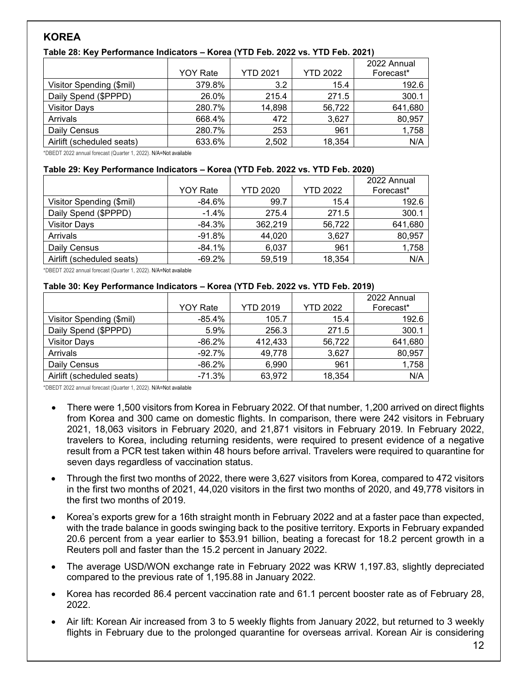# **KOREA**

## **Table 28: Key Performance Indicators – Korea (YTD Feb. 2022 vs. YTD Feb. 2021)**

|                           | <b>YOY Rate</b> | <b>YTD 2021</b> | <b>YTD 2022</b> | 2022 Annual<br>Forecast* |
|---------------------------|-----------------|-----------------|-----------------|--------------------------|
| Visitor Spending (\$mil)  | 379.8%          | 3.2             | 15.4            | 192.6                    |
| Daily Spend (\$PPPD)      | 26.0%           | 215.4           | 271.5           | 300.1                    |
| <b>Visitor Days</b>       | 280.7%          | 14,898          | 56,722          | 641,680                  |
| Arrivals                  | 668.4%          | 472             | 3,627           | 80,957                   |
| Daily Census              | 280.7%          | 253             | 961             | 1,758                    |
| Airlift (scheduled seats) | 633.6%          | 2,502           | 18,354          | N/A                      |

\*DBEDT 2022 annual forecast (Quarter 1, 2022). N/A=Not available

#### **Table 29: Key Performance Indicators – Korea (YTD Feb. 2022 vs. YTD Feb. 2020)**

|                           | <b>YOY Rate</b> | <b>YTD 2020</b> | <b>YTD 2022</b> | 2022 Annual<br>Forecast* |
|---------------------------|-----------------|-----------------|-----------------|--------------------------|
| Visitor Spending (\$mil)  | -84.6%          | 99.7            | 15.4            | 192.6                    |
| Daily Spend (\$PPPD)      | $-1.4%$         | 275.4           | 271.5           | 300.1                    |
| <b>Visitor Days</b>       | $-84.3\%$       | 362,219         | 56,722          | 641,680                  |
| Arrivals                  | $-91.8\%$       | 44,020          | 3,627           | 80,957                   |
| Daily Census              | $-84.1%$        | 6,037           | 961             | 1,758                    |
| Airlift (scheduled seats) | $-69.2\%$       | 59,519          | 18,354          | N/A                      |

\*DBEDT 2022 annual forecast (Quarter 1, 2022). N/A=Not available

#### **Table 30: Key Performance Indicators – Korea (YTD Feb. 2022 vs. YTD Feb. 2019)**

|                           | <b>YOY Rate</b> | <b>YTD 2019</b> | <b>YTD 2022</b> | 2022 Annual<br>Forecast* |
|---------------------------|-----------------|-----------------|-----------------|--------------------------|
| Visitor Spending (\$mil)  | -85.4%          | 105.7           | 15.4            | 192.6                    |
| Daily Spend (\$PPPD)      | 5.9%            | 256.3           | 271.5           | 300.1                    |
| <b>Visitor Days</b>       | $-86.2\%$       | 412,433         | 56,722          | 641,680                  |
| Arrivals                  | $-92.7\%$       | 49,778          | 3,627           | 80,957                   |
| Daily Census              | -86.2%          | 6,990           | 961             | 1,758                    |
| Airlift (scheduled seats) | -71.3%          | 63,972          | 18,354          | N/A                      |

- There were 1,500 visitors from Korea in February 2022. Of that number, 1,200 arrived on direct flights from Korea and 300 came on domestic flights. In comparison, there were 242 visitors in February 2021, 18,063 visitors in February 2020, and 21,871 visitors in February 2019. In February 2022, travelers to Korea, including returning residents, were required to present evidence of a negative result from a PCR test taken within 48 hours before arrival. Travelers were required to quarantine for seven days regardless of vaccination status.
- Through the first two months of 2022, there were 3,627 visitors from Korea, compared to 472 visitors in the first two months of 2021, 44,020 visitors in the first two months of 2020, and 49,778 visitors in the first two months of 2019.
- Korea's exports grew for a 16th straight month in February 2022 and at a faster pace than expected, with the trade balance in goods swinging back to the positive territory. Exports in February expanded 20.6 percent from a year earlier to \$53.91 billion, beating a forecast for 18.2 percent growth in a Reuters poll and faster than the 15.2 percent in January 2022.
- The average USD/WON exchange rate in February 2022 was KRW 1,197.83, slightly depreciated compared to the previous rate of 1,195.88 in January 2022.
- Korea has recorded 86.4 percent vaccination rate and 61.1 percent booster rate as of February 28, 2022.
- Air lift: Korean Air increased from 3 to 5 weekly flights from January 2022, but returned to 3 weekly flights in February due to the prolonged quarantine for overseas arrival. Korean Air is considering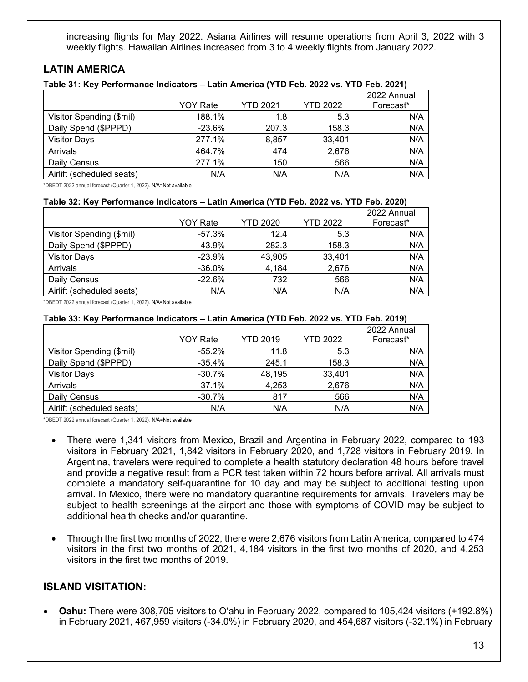increasing flights for May 2022. Asiana Airlines will resume operations from April 3, 2022 with 3 weekly flights. Hawaiian Airlines increased from 3 to 4 weekly flights from January 2022.

## **LATIN AMERICA**

#### **Table 31: Key Performance Indicators – Latin America (YTD Feb. 2022 vs. YTD Feb. 2021)**

|                           |                 |                 |                 | 2022 Annual |
|---------------------------|-----------------|-----------------|-----------------|-------------|
|                           | <b>YOY Rate</b> | <b>YTD 2021</b> | <b>YTD 2022</b> | Forecast*   |
| Visitor Spending (\$mil)  | 188.1%          | 1.8             | 5.3             | N/A         |
| Daily Spend (\$PPPD)      | $-23.6%$        | 207.3           | 158.3           | N/A         |
| <b>Visitor Days</b>       | 277.1%          | 8,857           | 33,401          | N/A         |
| Arrivals                  | 464.7%          | 474             | 2,676           | N/A         |
| Daily Census              | 277.1%          | 150             | 566             | N/A         |
| Airlift (scheduled seats) | N/A             | N/A             | N/A             | N/A         |

\*DBEDT 2022 annual forecast (Quarter 1, 2022). N/A=Not available

#### **Table 32: Key Performance Indicators – Latin America (YTD Feb. 2022 vs. YTD Feb. 2020)**

|                           |                 |                 |                 | 2022 Annual |
|---------------------------|-----------------|-----------------|-----------------|-------------|
|                           | <b>YOY Rate</b> | <b>YTD 2020</b> | <b>YTD 2022</b> | Forecast*   |
| Visitor Spending (\$mil)  | -57.3%          | 12.4            | 5.3             | N/A         |
| Daily Spend (\$PPPD)      | $-43.9%$        | 282.3           | 158.3           | N/A         |
| <b>Visitor Days</b>       | $-23.9%$        | 43,905          | 33,401          | N/A         |
| Arrivals                  | $-36.0\%$       | 4,184           | 2,676           | N/A         |
| Daily Census              | $-22.6\%$       | 732             | 566             | N/A         |
| Airlift (scheduled seats) | N/A             | N/A             | N/A             | N/A         |

\*DBEDT 2022 annual forecast (Quarter 1, 2022). N/A=Not available

#### **Table 33: Key Performance Indicators – Latin America (YTD Feb. 2022 vs. YTD Feb. 2019)**

|                           | <b>YOY Rate</b> | <b>YTD 2019</b> | <b>YTD 2022</b> | 2022 Annual<br>Forecast* |
|---------------------------|-----------------|-----------------|-----------------|--------------------------|
|                           |                 |                 |                 |                          |
| Visitor Spending (\$mil)  | $-55.2\%$       | 11.8            | 5.3             | N/A                      |
| Daily Spend (\$PPPD)      | $-35.4%$        | 245.1           | 158.3           | N/A                      |
| <b>Visitor Days</b>       | $-30.7%$        | 48,195          | 33,401          | N/A                      |
| Arrivals                  | $-37.1%$        | 4,253           | 2,676           | N/A                      |
| Daily Census              | $-30.7%$        | 817             | 566             | N/A                      |
| Airlift (scheduled seats) | N/A             | N/A             | N/A             | N/A                      |

\*DBEDT 2022 annual forecast (Quarter 1, 2022). N/A=Not available

- There were 1,341 visitors from Mexico, Brazil and Argentina in February 2022, compared to 193 visitors in February 2021, 1,842 visitors in February 2020, and 1,728 visitors in February 2019. In Argentina, travelers were required to complete a health statutory declaration 48 hours before travel and provide a negative result from a PCR test taken within 72 hours before arrival. All arrivals must complete a mandatory self-quarantine for 10 day and may be subject to additional testing upon arrival. In Mexico, there were no mandatory quarantine requirements for arrivals. Travelers may be subject to health screenings at the airport and those with symptoms of COVID may be subject to additional health checks and/or quarantine.
- Through the first two months of 2022, there were 2,676 visitors from Latin America, compared to 474 visitors in the first two months of 2021, 4,184 visitors in the first two months of 2020, and 4,253 visitors in the first two months of 2019.

## **ISLAND VISITATION:**

• **Oahu:** There were 308,705 visitors to O'ahu in February 2022, compared to 105,424 visitors (+192.8%) in February 2021, 467,959 visitors (-34.0%) in February 2020, and 454,687 visitors (-32.1%) in February